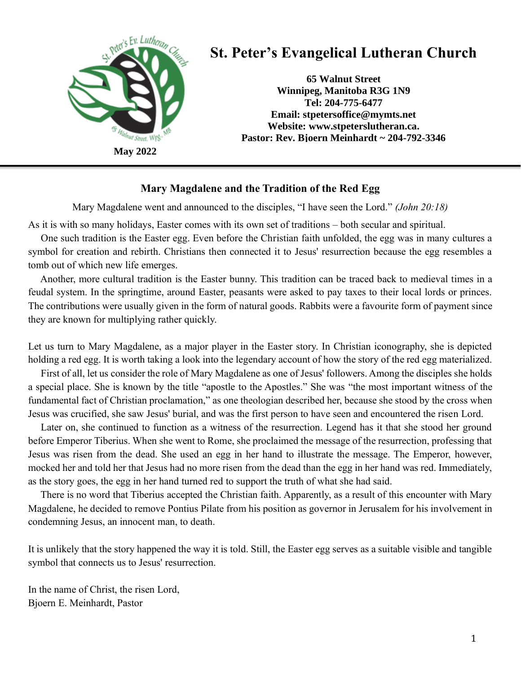

# **St. Peter's Evangelical Lutheran Church**

**65 Walnut Street Winnipeg, Manitoba R3G 1N9 Tel: 204-775-6477 Email: stpetersoffice@mymts.net Website: [www.stpeterslutheran.ca.](http://www.stpeterslutheran.ca/) Pastor: Rev. Bjoern Meinhardt ~ 204-792-3346**

#### **Mary Magdalene and the Tradition of the Red Egg**

Mary Magdalene went and announced to the disciples, "I have seen the Lord." *(John 20:18)*

As it is with so many holidays, Easter comes with its own set of traditions – both secular and spiritual.

 One such tradition is the Easter egg. Even before the Christian faith unfolded, the egg was in many cultures a symbol for creation and rebirth. Christians then connected it to Jesus' resurrection because the egg resembles a tomb out of which new life emerges.

 Another, more cultural tradition is the Easter bunny. This tradition can be traced back to medieval times in a feudal system. In the springtime, around Easter, peasants were asked to pay taxes to their local lords or princes. The contributions were usually given in the form of natural goods. Rabbits were a favourite form of payment since they are known for multiplying rather quickly.

Let us turn to Mary Magdalene, as a major player in the Easter story. In Christian iconography, she is depicted holding a red egg. It is worth taking a look into the legendary account of how the story of the red egg materialized.

 First of all, let us consider the role of Mary Magdalene as one of Jesus' followers. Among the disciples she holds a special place. She is known by the title "apostle to the Apostles." She was "the most important witness of the fundamental fact of Christian proclamation," as one theologian described her, because she stood by the cross when Jesus was crucified, she saw Jesus' burial, and was the first person to have seen and encountered the risen Lord.

 Later on, she continued to function as a witness of the resurrection. Legend has it that she stood her ground before Emperor Tiberius. When she went to Rome, she proclaimed the message of the resurrection, professing that Jesus was risen from the dead. She used an egg in her hand to illustrate the message. The Emperor, however, mocked her and told her that Jesus had no more risen from the dead than the egg in her hand was red. Immediately, as the story goes, the egg in her hand turned red to support the truth of what she had said.

 There is no word that Tiberius accepted the Christian faith. Apparently, as a result of this encounter with Mary Magdalene, he decided to remove Pontius Pilate from his position as governor in Jerusalem for his involvement in condemning Jesus, an innocent man, to death.

It is unlikely that the story happened the way it is told. Still, the Easter egg serves as a suitable visible and tangible symbol that connects us to Jesus' resurrection.

In the name of Christ, the risen Lord, Bjoern E. Meinhardt, Pastor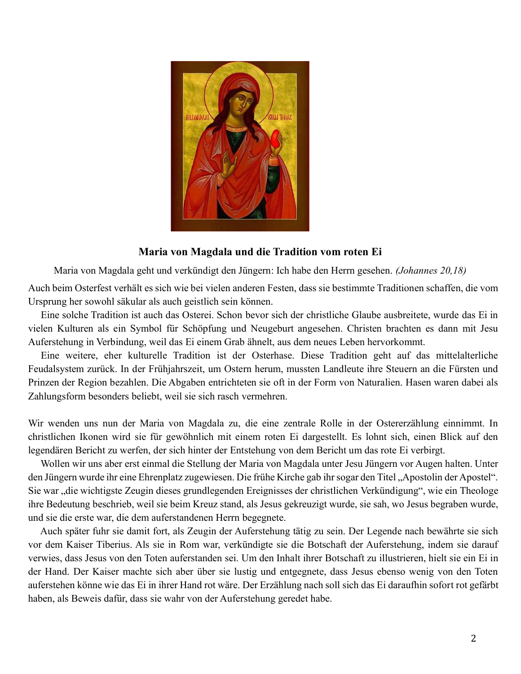

#### **Maria von Magdala und die Tradition vom roten Ei**

Maria von Magdala geht und verkündigt den Jüngern: Ich habe den Herrn gesehen. *(Johannes 20,18)* Auch beim Osterfest verhält es sich wie bei vielen anderen Festen, dass sie bestimmte Traditionen schaffen, die vom Ursprung her sowohl säkular als auch geistlich sein können.

 Eine solche Tradition ist auch das Osterei. Schon bevor sich der christliche Glaube ausbreitete, wurde das Ei in vielen Kulturen als ein Symbol für Schöpfung und Neugeburt angesehen. Christen brachten es dann mit Jesu Auferstehung in Verbindung, weil das Ei einem Grab ähnelt, aus dem neues Leben hervorkommt.

 Eine weitere, eher kulturelle Tradition ist der Osterhase. Diese Tradition geht auf das mittelalterliche Feudalsystem zurück. In der Frühjahrszeit, um Ostern herum, mussten Landleute ihre Steuern an die Fürsten und Prinzen der Region bezahlen. Die Abgaben entrichteten sie oft in der Form von Naturalien. Hasen waren dabei als Zahlungsform besonders beliebt, weil sie sich rasch vermehren.

Wir wenden uns nun der Maria von Magdala zu, die eine zentrale Rolle in der Ostererzählung einnimmt. In christlichen Ikonen wird sie für gewöhnlich mit einem roten Ei dargestellt. Es lohnt sich, einen Blick auf den legendären Bericht zu werfen, der sich hinter der Entstehung von dem Bericht um das rote Ei verbirgt.

 Wollen wir uns aber erst einmal die Stellung der Maria von Magdala unter Jesu Jüngern vor Augen halten. Unter den Jüngern wurde ihr eine Ehrenplatz zugewiesen. Die frühe Kirche gab ihr sogar den Titel "Apostolin der Apostel". Sie war "die wichtigste Zeugin dieses grundlegenden Ereignisses der christlichen Verkündigung", wie ein Theologe ihre Bedeutung beschrieb, weil sie beim Kreuz stand, als Jesus gekreuzigt wurde, sie sah, wo Jesus begraben wurde, und sie die erste war, die dem auferstandenen Herrn begegnete.

 Auch später fuhr sie damit fort, als Zeugin der Auferstehung tätig zu sein. Der Legende nach bewährte sie sich vor dem Kaiser Tiberius. Als sie in Rom war, verkündigte sie die Botschaft der Auferstehung, indem sie darauf verwies, dass Jesus von den Toten auferstanden sei. Um den Inhalt ihrer Botschaft zu illustrieren, hielt sie ein Ei in der Hand. Der Kaiser machte sich aber über sie lustig und entgegnete, dass Jesus ebenso wenig von den Toten auferstehen könne wie das Ei in ihrer Hand rot wäre. Der Erzählung nach soll sich das Ei daraufhin sofort rot gefärbt haben, als Beweis dafür, dass sie wahr von der Auferstehung geredet habe.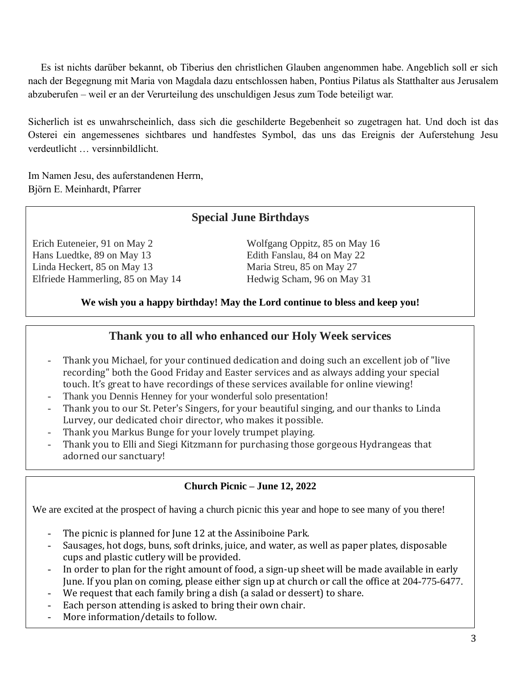Es ist nichts darüber bekannt, ob Tiberius den christlichen Glauben angenommen habe. Angeblich soll er sich nach der Begegnung mit Maria von Magdala dazu entschlossen haben, Pontius Pilatus als Statthalter aus Jerusalem abzuberufen – weil er an der Verurteilung des unschuldigen Jesus zum Tode beteiligt war.

Sicherlich ist es unwahrscheinlich, dass sich die geschilderte Begebenheit so zugetragen hat. Und doch ist das Osterei ein angemessenes sichtbares und handfestes Symbol, das uns das Ereignis der Auferstehung Jesu verdeutlicht … versinnbildlicht.

Im Namen Jesu, des auferstandenen Herrn, Björn E. Meinhardt, Pfarrer

# **Special June Birthdays**

Erich Euteneier, 91 on May 2 Wolfgang Oppitz, 85 on May 16 Hans Luedtke, 89 on May 13 Edith Fanslau, 84 on May 22 Linda Heckert, 85 on May 13 Maria Streu, 85 on May 27 Elfriede Hammerling, 85 on May 14 Hedwig Scham, 96 on May 31

**We wish you a happy birthday! May the Lord continue to bless and keep you!**

## **Thank you to all who enhanced our Holy Week services**

- Thank you Michael, for your continued dedication and doing such an excellent job of "live recording" both the Good Friday and Easter services and as always adding your special touch. It's great to have recordings of these services available for online viewing!
- Thank you Dennis Henney for your wonderful solo presentation!
- Thank you to our St. Peter's Singers, for your beautiful singing, and our thanks to Linda Lurvey, our dedicated choir director, who makes it possible.
- Thank you Markus Bunge for your lovely trumpet playing.
- Thank you to Elli and Siegi Kitzmann for purchasing those gorgeous Hydrangeas that adorned our sanctuary!

# **Church Picnic – June 12, 2022**

We are excited at the prospect of having a church picnic this year and hope to see many of you there!

- The picnic is planned for June 12 at the Assiniboine Park.
- Sausages, hot dogs, buns, soft drinks, juice, and water, as well as paper plates, disposable cups and plastic cutlery will be provided.
- In order to plan for the right amount of food, a sign-up sheet will be made available in early June. If you plan on coming, please either sign up at church or call the office at 204-775-6477.
- We request that each family bring a dish (a salad or dessert) to share.
- Each person attending is asked to bring their own chair.
- More information/details to follow.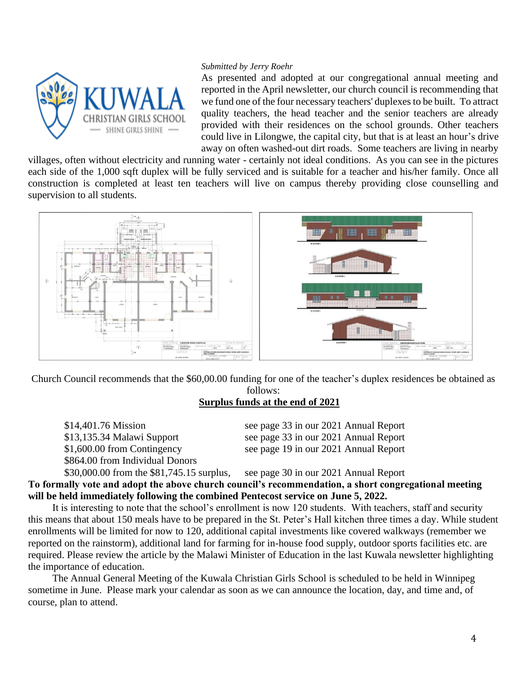

#### *Submitted by Jerry Roehr*

As presented and adopted at our congregational annual meeting and reported in the April newsletter, our church council is recommending that we fund one of the four necessary teachers' duplexes to be built. To attract quality teachers, the head teacher and the senior teachers are already provided with their residences on the school grounds. Other teachers could live in Lilongwe, the capital city, but that is at least an hour's drive away on often washed-out dirt roads. Some teachers are living in nearby

villages, often without electricity and running water - certainly not ideal conditions. As you can see in the pictures each side of the 1,000 sqft duplex will be fully serviced and is suitable for a teacher and his/her family. Once all construction is completed at least ten teachers will live on campus thereby providing close counselling and supervision to all students.



Church Council recommends that the \$60,00.00 funding for one of the teacher's duplex residences be obtained as follows:

#### **Surplus funds at the end of 2021**

\$864.00 from Individual Donors

\$14,401.76 Mission see page 33 in our 2021 Annual Report \$13,135.34 Malawi Support see page 33 in our 2021 Annual Report \$1,600.00 from Contingency see page 19 in our 2021 Annual Report

\$30,000.00 from the \$81,745.15 surplus, see page 30 in our 2021 Annual Report

**To formally vote and adopt the above church council's recommendation, a short congregational meeting will be held immediately following the combined Pentecost service on June 5, 2022.**

It is interesting to note that the school's enrollment is now 120 students. With teachers, staff and security this means that about 150 meals have to be prepared in the St. Peter's Hall kitchen three times a day. While student enrollments will be limited for now to 120, additional capital investments like covered walkways (remember we reported on the rainstorm), additional land for farming for in-house food supply, outdoor sports facilities etc. are required. Please review the article by the Malawi Minister of Education in the last Kuwala newsletter highlighting the importance of education.

The Annual General Meeting of the Kuwala Christian Girls School is scheduled to be held in Winnipeg sometime in June. Please mark your calendar as soon as we can announce the location, day, and time and, of course, plan to attend.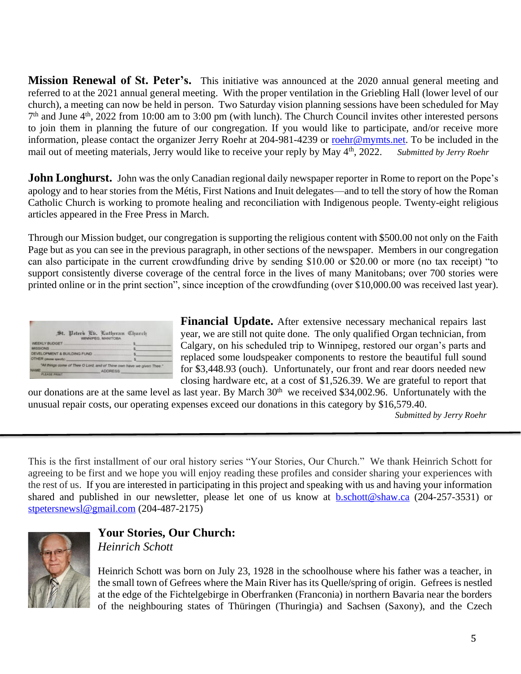**Mission Renewal of St. Peter's.** This initiative was announced at the 2020 annual general meeting and referred to at the 2021 annual general meeting. With the proper ventilation in the Griebling Hall (lower level of our church), a meeting can now be held in person. Two Saturday vision planning sessions have been scheduled for May 7 th and June 4th, 2022 from 10:00 am to 3:00 pm (with lunch). The Church Council invites other interested persons to join them in planning the future of our congregation. If you would like to participate, and/or receive more information, please contact the organizer Jerry Roehr at 204-981-4239 or [roehr@mymts.net.](mailto:roehr@mymts.net) To be included in the mail out of meeting materials, Jerry would like to receive your reply by May 4th, 2022. *Submitted by Jerry Roehr*

**John Longhurst.** John was the only Canadian regional daily newspaper reporter in Rome to report on the Pope's apology and to hear stories from the Métis, First Nations and Inuit delegates—and to tell the story of how the Roman Catholic Church is working to promote healing and reconciliation with Indigenous people. Twenty-eight religious articles appeared in the Free Press in March.

Through our Mission budget, our congregation is supporting the religious content with \$500.00 not only on the Faith Page but as you can see in the previous paragraph, in other sections of the newspaper. Members in our congregation can also participate in the current crowdfunding drive by sending \$10.00 or \$20.00 or more (no tax receipt) "to support consistently diverse coverage of the central force in the lives of many Manitobans; over 700 stories were printed online or in the print section", since inception of the crowdfunding (over \$10,000.00 was received last year).

|                             | St. Peters Ev. Lutheran Church<br><b>WINNIPEG, MANITOBA</b>            |  |
|-----------------------------|------------------------------------------------------------------------|--|
| WEEKLY BUDGET               |                                                                        |  |
| MISSIONS                    |                                                                        |  |
| DEVELOPMENT & BUILDING FUND |                                                                        |  |
| OTHER givese specify)       |                                                                        |  |
|                             | "All things come of Thee O Lord, and of Thine own have we given Thee." |  |

**Financial Update.** After extensive necessary mechanical repairs last year, we are still not quite done. The only qualified Organ technician, from Calgary, on his scheduled trip to Winnipeg, restored our organ's parts and replaced some loudspeaker components to restore the beautiful full sound for \$3,448.93 (ouch). Unfortunately, our front and rear doors needed new closing hardware etc, at a cost of \$1,526.39. We are grateful to report that

our donations are at the same level as last year. By March  $30<sup>th</sup>$  we received \$34,002.96. Unfortunately with the unusual repair costs, our operating expenses exceed our donations in this category by \$16,579.40.

*Submitted by Jerry Roehr*

This is the first installment of our oral history series "Your Stories, Our Church." We thank Heinrich Schott for agreeing to be first and we hope you will enjoy reading these profiles and consider sharing your experiences with the rest of us. If you are interested in participating in this project and speaking with us and having your information shared and published in our newsletter, please let one of us know at [b.schott@shaw.ca](mailto:b.schott@shaw.ca) (204-257-3531) or [stpetersnewsl@gmail.com](mailto:stpetersnewsl@gmail.com) (204-487-2175)



### **Your Stories, Our Church:**  *Heinrich Schott*

Heinrich Schott was born on July 23, 1928 in the schoolhouse where his father was a teacher, in the small town of Gefrees where the Main River has its Quelle/spring of origin. Gefrees is nestled at the edge of the Fichtelgebirge in Oberfranken (Franconia) in northern Bavaria near the borders of the neighbouring states of Thüringen (Thuringia) and Sachsen (Saxony), and the Czech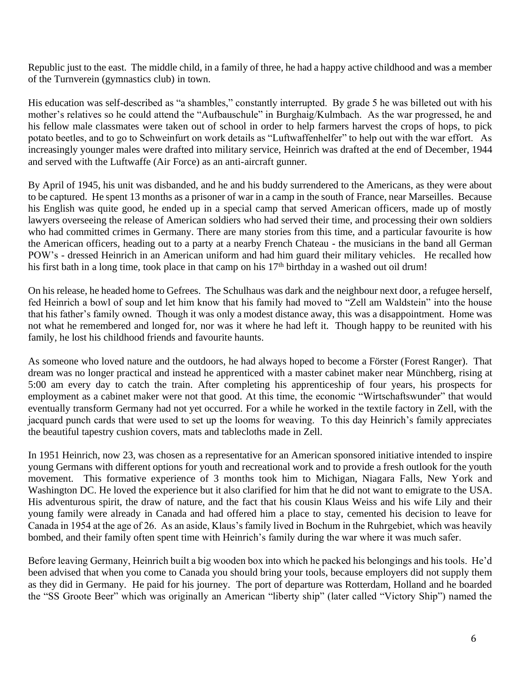Republic just to the east. The middle child, in a family of three, he had a happy active childhood and was a member of the Turnverein (gymnastics club) in town.

His education was self-described as "a shambles," constantly interrupted. By grade 5 he was billeted out with his mother's relatives so he could attend the "Aufbauschule" in Burghaig/Kulmbach. As the war progressed, he and his fellow male classmates were taken out of school in order to help farmers harvest the crops of hops, to pick potato beetles, and to go to Schweinfurt on work details as "Luftwaffenhelfer" to help out with the war effort. As increasingly younger males were drafted into military service, Heinrich was drafted at the end of December, 1944 and served with the Luftwaffe (Air Force) as an anti-aircraft gunner.

By April of 1945, his unit was disbanded, and he and his buddy surrendered to the Americans, as they were about to be captured. He spent 13 months as a prisoner of war in a camp in the south of France, near Marseilles. Because his English was quite good, he ended up in a special camp that served American officers, made up of mostly lawyers overseeing the release of American soldiers who had served their time, and processing their own soldiers who had committed crimes in Germany. There are many stories from this time, and a particular favourite is how the American officers, heading out to a party at a nearby French Chateau - the musicians in the band all German POW's - dressed Heinrich in an American uniform and had him guard their military vehicles. He recalled how his first bath in a long time, took place in that camp on his 17<sup>th</sup> birthday in a washed out oil drum!

On his release, he headed home to Gefrees. The Schulhaus was dark and the neighbour next door, a refugee herself, fed Heinrich a bowl of soup and let him know that his family had moved to "Zell am Waldstein" into the house that his father's family owned. Though it was only a modest distance away, this was a disappointment. Home was not what he remembered and longed for, nor was it where he had left it. Though happy to be reunited with his family, he lost his childhood friends and favourite haunts.

As someone who loved nature and the outdoors, he had always hoped to become a Förster (Forest Ranger). That dream was no longer practical and instead he apprenticed with a master cabinet maker near Münchberg, rising at 5:00 am every day to catch the train. After completing his apprenticeship of four years, his prospects for employment as a cabinet maker were not that good. At this time, the economic "Wirtschaftswunder" that would eventually transform Germany had not yet occurred. For a while he worked in the textile factory in Zell, with the jacquard punch cards that were used to set up the looms for weaving. To this day Heinrich's family appreciates the beautiful tapestry cushion covers, mats and tablecloths made in Zell.

In 1951 Heinrich, now 23, was chosen as a representative for an American sponsored initiative intended to inspire young Germans with different options for youth and recreational work and to provide a fresh outlook for the youth movement. This formative experience of 3 months took him to Michigan, Niagara Falls, New York and Washington DC. He loved the experience but it also clarified for him that he did not want to emigrate to the USA. His adventurous spirit, the draw of nature, and the fact that his cousin Klaus Weiss and his wife Lily and their young family were already in Canada and had offered him a place to stay, cemented his decision to leave for Canada in 1954 at the age of 26. As an aside, Klaus's family lived in Bochum in the Ruhrgebiet, which was heavily bombed, and their family often spent time with Heinrich's family during the war where it was much safer.

Before leaving Germany, Heinrich built a big wooden box into which he packed his belongings and his tools. He'd been advised that when you come to Canada you should bring your tools, because employers did not supply them as they did in Germany. He paid for his journey. The port of departure was Rotterdam, Holland and he boarded the "SS Groote Beer" which was originally an American "liberty ship" (later called "Victory Ship") named the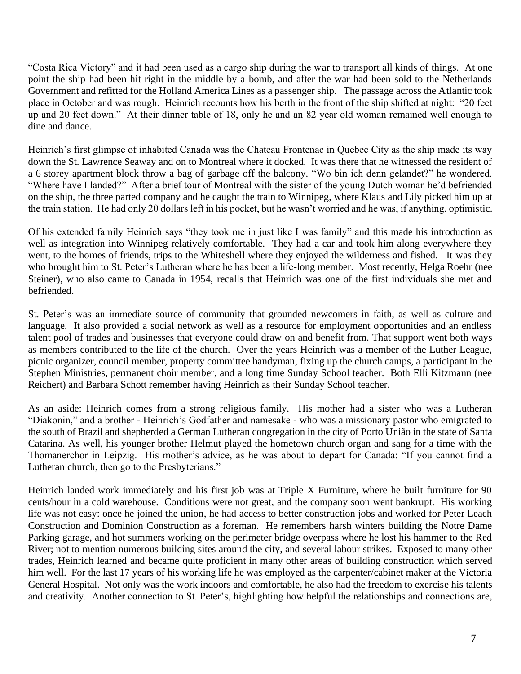"Costa Rica Victory" and it had been used as a cargo ship during the war to transport all kinds of things. At one point the ship had been hit right in the middle by a bomb, and after the war had been sold to the Netherlands Government and refitted for the Holland America Lines as a passenger ship. The passage across the Atlantic took place in October and was rough. Heinrich recounts how his berth in the front of the ship shifted at night: "20 feet up and 20 feet down." At their dinner table of 18, only he and an 82 year old woman remained well enough to dine and dance.

Heinrich's first glimpse of inhabited Canada was the Chateau Frontenac in Quebec City as the ship made its way down the St. Lawrence Seaway and on to Montreal where it docked. It was there that he witnessed the resident of a 6 storey apartment block throw a bag of garbage off the balcony. "Wo bin ich denn gelandet?" he wondered. "Where have I landed?" After a brief tour of Montreal with the sister of the young Dutch woman he'd befriended on the ship, the three parted company and he caught the train to Winnipeg, where Klaus and Lily picked him up at the train station. He had only 20 dollars left in his pocket, but he wasn't worried and he was, if anything, optimistic.

Of his extended family Heinrich says "they took me in just like I was family" and this made his introduction as well as integration into Winnipeg relatively comfortable. They had a car and took him along everywhere they went, to the homes of friends, trips to the Whiteshell where they enjoyed the wilderness and fished. It was they who brought him to St. Peter's Lutheran where he has been a life-long member. Most recently, Helga Roehr (nee Steiner), who also came to Canada in 1954, recalls that Heinrich was one of the first individuals she met and befriended.

St. Peter's was an immediate source of community that grounded newcomers in faith, as well as culture and language. It also provided a social network as well as a resource for employment opportunities and an endless talent pool of trades and businesses that everyone could draw on and benefit from. That support went both ways as members contributed to the life of the church. Over the years Heinrich was a member of the Luther League, picnic organizer, council member, property committee handyman, fixing up the church camps, a participant in the Stephen Ministries, permanent choir member, and a long time Sunday School teacher. Both Elli Kitzmann (nee Reichert) and Barbara Schott remember having Heinrich as their Sunday School teacher.

As an aside: Heinrich comes from a strong religious family. His mother had a sister who was a Lutheran "Diakonin," and a brother - Heinrich's Godfather and namesake - who was a missionary pastor who emigrated to the south of Brazil and shepherded a German Lutheran congregation in the city of Porto União in the state of Santa Catarina. As well, his younger brother Helmut played the hometown church organ and sang for a time with the Thomanerchor in Leipzig. His mother's advice, as he was about to depart for Canada: "If you cannot find a Lutheran church, then go to the Presbyterians."

Heinrich landed work immediately and his first job was at Triple X Furniture, where he built furniture for 90 cents/hour in a cold warehouse. Conditions were not great, and the company soon went bankrupt. His working life was not easy: once he joined the union, he had access to better construction jobs and worked for Peter Leach Construction and Dominion Construction as a foreman. He remembers harsh winters building the Notre Dame Parking garage, and hot summers working on the perimeter bridge overpass where he lost his hammer to the Red River; not to mention numerous building sites around the city, and several labour strikes. Exposed to many other trades, Heinrich learned and became quite proficient in many other areas of building construction which served him well. For the last 17 years of his working life he was employed as the carpenter/cabinet maker at the Victoria General Hospital. Not only was the work indoors and comfortable, he also had the freedom to exercise his talents and creativity. Another connection to St. Peter's, highlighting how helpful the relationships and connections are,